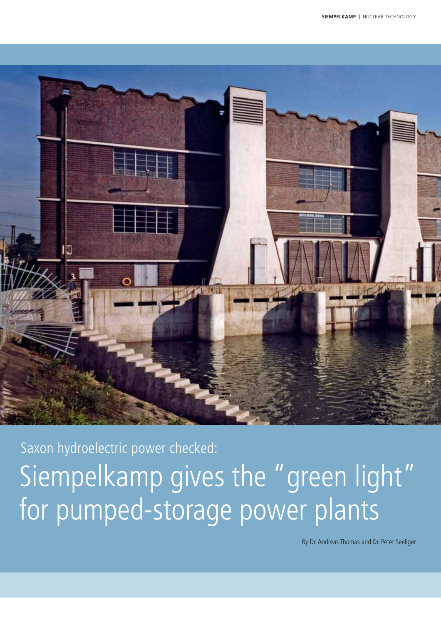

Saxon hydroelectric power checked: Siempelkamp gives the "green light" for pumped-storage power plants

By Dr. Andreas Thomas and Dr. Peter Seeliger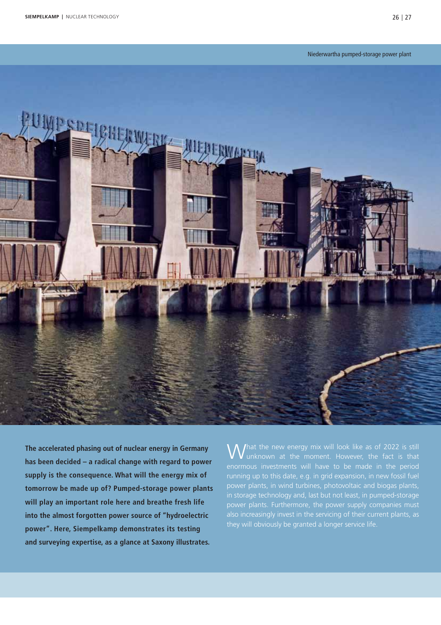

**The accelerated phasing out of nuclear energy in Germany has been decided – a radical change with regard to power supply is the consequence. What will the energy mix of tomorrow be made up of? Pumped-storage power plants will play an important role here and breathe fresh life into the almost forgotten power source of "hydroelectric power". Here, Siempelkamp demonstrates its testing and surveying expertise, as a glance at Saxony illustrates.**

What the new energy mix will look like as of 2022 is still<br>Wunknown at the moment. However, the fact is that running up to this date, e.g. in grid expansion, in new fossil fuel power plants, in wind turbines, photovoltaic and biogas plants, in storage technology and, last but not least, in pumped-storage power plants. Furthermore, the power supply companies must also increasingly invest in the servicing of their current plants, as they will obviously be granted a longer service life.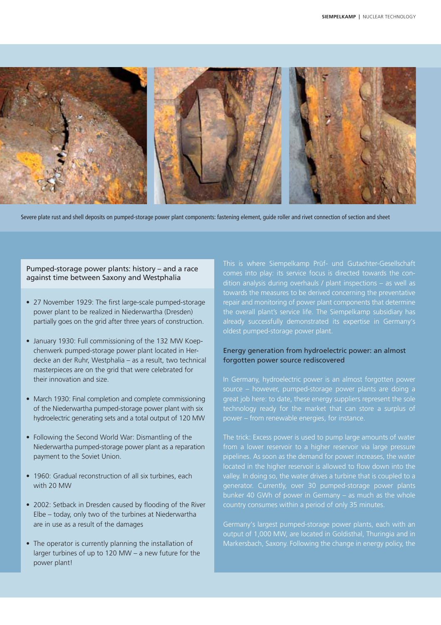

Severe plate rust and shell deposits on pumped-storage power plant components: fastening element, guide roller and rivet connection of section and sheet

# Pumped-storage power plants: history – and a race against time between Saxony and Westphalia

- 27 November 1929: The first large-scale pumped-storage power plant to be realized in Niederwartha (Dresden) partially goes on the grid after three years of construction.
- January 1930: Full commissioning of the 132 MW Koepchenwerk pumped-storage power plant located in Herdecke an der Ruhr, Westphalia – as a result, two technical masterpieces are on the grid that were celebrated for their innovation and size.
- March 1930: Final completion and complete commissioning of the Niederwartha pumped-storage power plant with six hydroelectric generating sets and a total output of 120 MW
- Following the Second World War: Dismantling of the Niederwartha pumped-storage power plant as a reparation payment to the Soviet Union.
- 1960: Gradual reconstruction of all six turbines, each with 20 MW
- 2002: Setback in Dresden caused by flooding of the River Elbe – today, only two of the turbines at Niederwartha are in use as a result of the damages
- The operator is currently planning the installation of larger turbines of up to 120 MW – a new future for the power plant!

comes into play: its service focus is directed towards the conrepair and monitoring of power plant components that determine already successfully demonstrated its expertise in Germany's oldest pumped-storage power plant.

# Energy generation from hydroelectric power: an almost forgotten power source rediscovered

In Germany, hydroelectric power is an almost forgotten power source – however, pumped-storage power plants are doing a great job here: to date, these energy suppliers represent the sole technology ready for the market that can store a surplus of power – from renewable energies, for instance.

The trick: Excess power is used to pump large amounts of water pipelines. As soon as the demand for power increases, the water  $\overline{a}$  located in the higher reservoir is allowed to flow down into the valley. In doing so, the water drives a turbine that is coupled to a generator. Currently, over 30 pumped-storage power plants

Germany's largest pumped-storage power plants, each with an output of 1,000 MW, are located in Goldisthal, Thuringia and in Markersbach, Saxony. Following the change in energy policy, the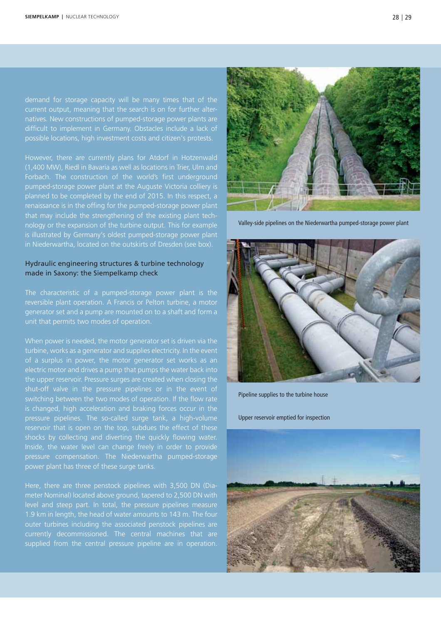demand for storage capacity will be many times that of the natives. New constructions of pumped-storage power plants are difficult to implement in Germany. Obstacles include a lack of possible locations, high investment costs and citizen's protests.

Forbach. The construction of the world's first underground pumped-storage power plant at the Auguste Victoria colliery is renaissance is in the offing for the pumped-storage power plant nology or the expansion of the turbine output. This for example is illustrated by Germany's oldest pumped-storage power plant in Niederwartha, located on the outskirts of Dresden (see box).

# Hydraulic engineering structures & turbine technology made in Saxony: the Siempelkamp check

The characteristic of a pumped-storage power plant is the reversible plant operation. A Francis or Pelton turbine, a motor generator set and a pump are mounted on to a shaft and form a unit that permits two modes of operation.

When power is needed, the motor generator set is driven via the turbine, works as a generator and supplies electricity. In the event of a surplus in power, the motor generator set works as an the upper reservoir. Pressure surges are created when closing the shut-off valve in the pressure pipelines or in the event of is changed, high acceleration and braking forces occur in the pressure pipelines. The so-called surge tank, a high-volume shocks by collecting and diverting the quickly flowing water. Inside, the water level can change freely in order to provide power plant has three of these surge tanks.

Here, there are three penstock pipelines with 3,500 DN (Diameter Nominal) located above ground, tapered to 2,500 DN with level and steep part. In total, the pressure pipelines measure 1.9 km in length, the head of water amounts to 143 m. The four currently decommissioned. The central machines that are supplied from the central pressure pipeline are in operation.



Valley-side pipelines on the Niederwartha pumped-storage power plant



Pipeline supplies to the turbine house

Upper reservoir emptied for inspection

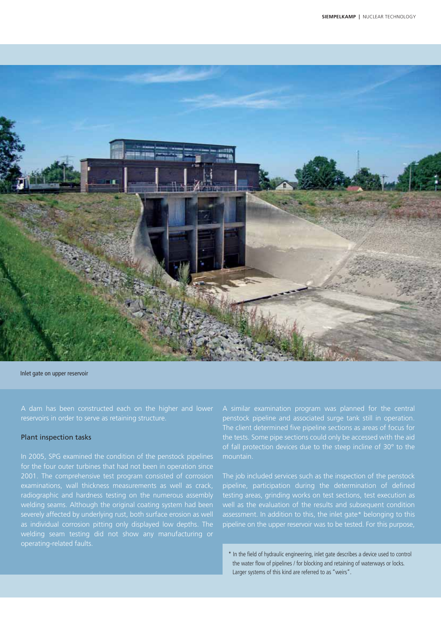

Inlet gate on upper reservoir

### Plant inspection tasks

In 2005, SPG examined the condition of the penstock pipelines for the four outer turbines that had not been in operation since examinations, wall thickness measurements as well as crack, radiographic and hardness testing on the numerous assembly severely affected by underlying rust, both surface erosion as well A similar examination program was planned for the central penstock pipeline and associated surge tank still in operation. The client determined five pipeline sections as areas of focus for the tests. Some pipe sections could only be accessed with the aid of fall protection devices due to the steep incline of  $30^{\circ}$  to the mountain.

The job included services such as the inspection of the penstock pipeline, participation during the determination of defined testing areas, grinding works on test sections, test execution as assessment. In addition to this, the inlet gate\* belonging to this pipeline on the upper reservoir was to be tested. For this purpose,

\* In the field of hydraulic engineering, inlet gate describes a device used to control the water flow of pipelines / for blocking and retaining of waterways or locks. Larger systems of this kind are referred to as "weirs".